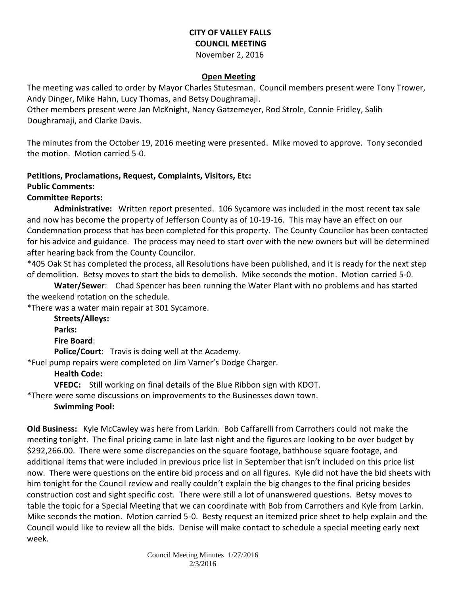## **CITY OF VALLEY FALLS COUNCIL MEETING** November 2, 2016

## **Open Meeting**

The meeting was called to order by Mayor Charles Stutesman. Council members present were Tony Trower, Andy Dinger, Mike Hahn, Lucy Thomas, and Betsy Doughramaji.

Other members present were Jan McKnight, Nancy Gatzemeyer, Rod Strole, Connie Fridley, Salih Doughramaji, and Clarke Davis.

The minutes from the October 19, 2016 meeting were presented. Mike moved to approve. Tony seconded the motion. Motion carried 5-0.

# **Petitions, Proclamations, Request, Complaints, Visitors, Etc:**

## **Public Comments:**

## **Committee Reports:**

**Administrative:** Written report presented. 106 Sycamore was included in the most recent tax sale and now has become the property of Jefferson County as of 10-19-16. This may have an effect on our Condemnation process that has been completed for this property. The County Councilor has been contacted for his advice and guidance. The process may need to start over with the new owners but will be determined after hearing back from the County Councilor.

\*405 Oak St has completed the process, all Resolutions have been published, and it is ready for the next step of demolition. Betsy moves to start the bids to demolish. Mike seconds the motion. Motion carried 5-0.

**Water/Sewer**: Chad Spencer has been running the Water Plant with no problems and has started the weekend rotation on the schedule.

\*There was a water main repair at 301 Sycamore.

**Streets/Alleys: Parks: Fire Board**: **Police/Court**: Travis is doing well at the Academy. \*Fuel pump repairs were completed on Jim Varner's Dodge Charger.

## **Health Code:**

**VFEDC:** Still working on final details of the Blue Ribbon sign with KDOT.

\*There were some discussions on improvements to the Businesses down town.

## **Swimming Pool:**

**Old Business:** Kyle McCawley was here from Larkin. Bob Caffarelli from Carrothers could not make the meeting tonight. The final pricing came in late last night and the figures are looking to be over budget by \$292,266.00. There were some discrepancies on the square footage, bathhouse square footage, and additional items that were included in previous price list in September that isn't included on this price list now. There were questions on the entire bid process and on all figures. Kyle did not have the bid sheets with him tonight for the Council review and really couldn't explain the big changes to the final pricing besides construction cost and sight specific cost. There were still a lot of unanswered questions. Betsy moves to table the topic for a Special Meeting that we can coordinate with Bob from Carrothers and Kyle from Larkin. Mike seconds the motion. Motion carried 5-0. Besty request an itemized price sheet to help explain and the Council would like to review all the bids. Denise will make contact to schedule a special meeting early next week.